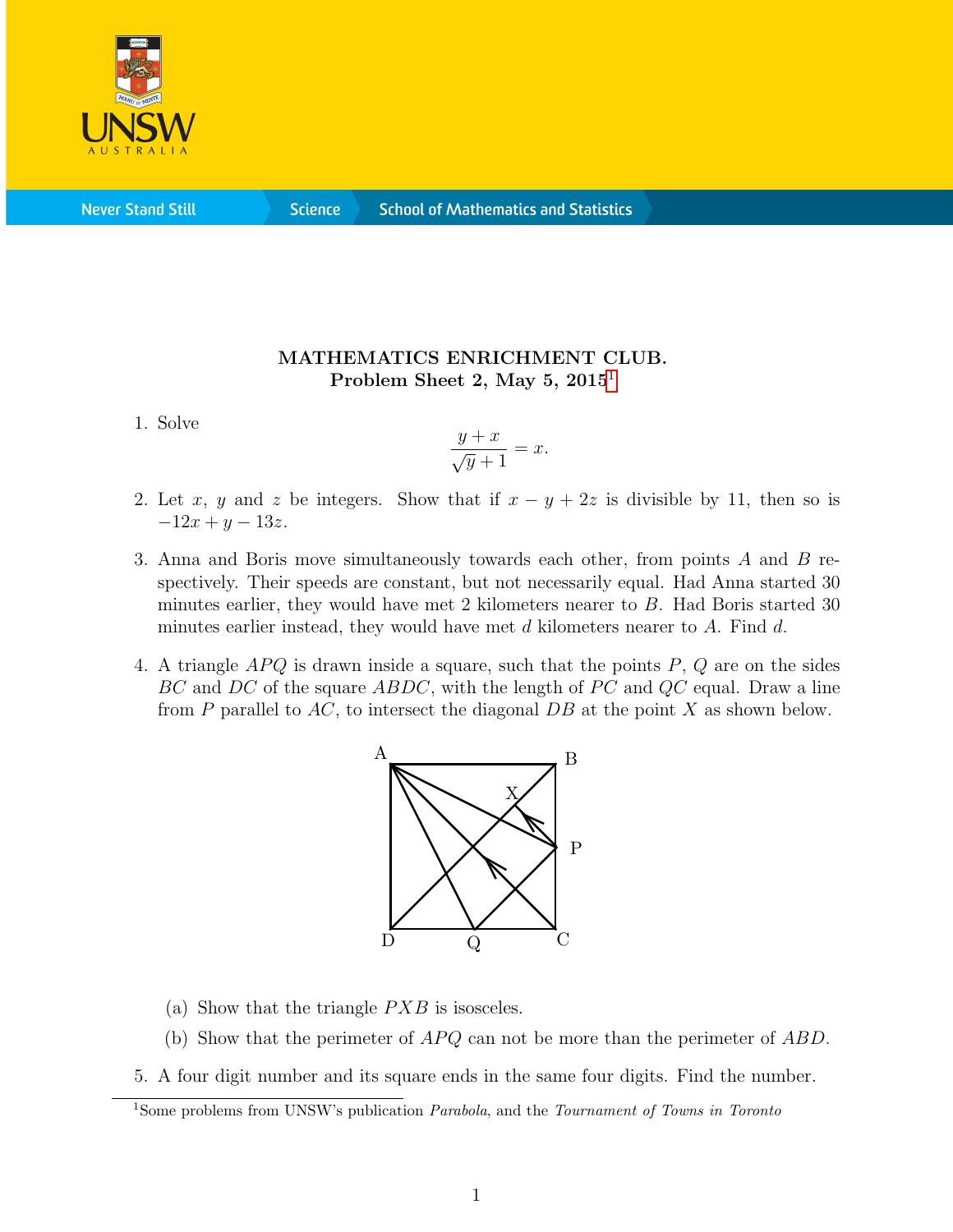

**Never Stand Still** 

**Science** 

## MATHEMATICS ENRICHMENT CLUB. Problem Sheet 2, May 5,  $2015<sup>1</sup>$  $2015<sup>1</sup>$  $2015<sup>1</sup>$

1. Solve

$$
\frac{y+x}{\sqrt{y}+1} = x.
$$

- 2. Let x, y and z be integers. Show that if  $x y + 2z$  is divisible by 11, then so is  $-12x + y - 13z$ .
- 3. Anna and Boris move simultaneously towards each other, from points A and B respectively. Their speeds are constant, but not necessarily equal. Had Anna started 30 minutes earlier, they would have met 2 kilometers nearer to B. Had Boris started 30 minutes earlier instead, they would have met  $d$  kilometers nearer to  $A$ . Find  $d$ .
- 4. A triangle  $APQ$  is drawn inside a square, such that the points  $P, Q$  are on the sides  $BC$  and  $DC$  of the square  $ABDC$ , with the length of PC and QC equal. Draw a line from P parallel to  $AC$ , to intersect the diagonal  $DB$  at the point X as shown below.



- (a) Show that the triangle  $PXB$  is isosceles.
- (b) Show that the perimeter of  $APQ$  can not be more than the perimeter of  $ABD$ .
- 5. A four digit number and its square ends in the same four digits. Find the number.

<span id="page-0-0"></span><sup>&</sup>lt;sup>1</sup>Some problems from UNSW's publication *Parabola*, and the *Tournament of Towns in Toronto*